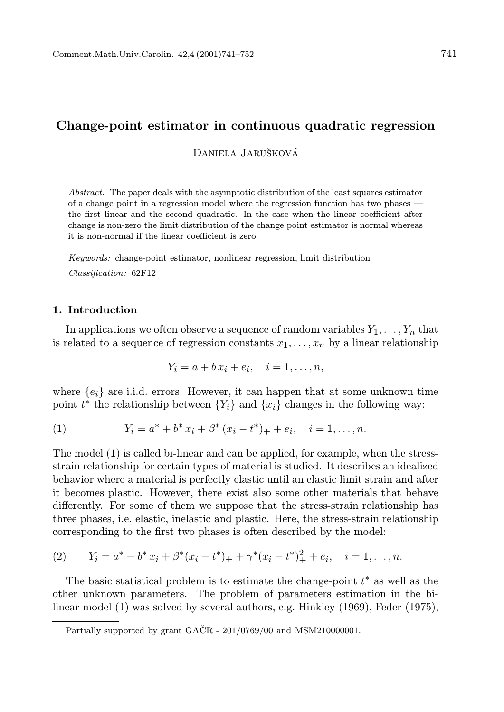# Change-point estimator in continuous quadratic regression

Daniela Jarušková

Abstract. The paper deals with the asymptotic distribution of the least squares estimator of a change point in a regression model where the regression function has two phases the first linear and the second quadratic. In the case when the linear coefficient after change is non-zero the limit distribution of the change point estimator is normal whereas it is non-normal if the linear coefficient is zero.

Keywords: change-point estimator, nonlinear regression, limit distribution Classification: 62F12

### 1. Introduction

In applications we often observe a sequence of random variables  $Y_1, \ldots, Y_n$  that is related to a sequence of regression constants  $x_1, \ldots, x_n$  by a linear relationship

$$
Y_i = a + b x_i + e_i, \quad i = 1, \dots, n,
$$

where  ${e_i}$  are i.i.d. errors. However, it can happen that at some unknown time point  $t^*$  the relationship between  $\{Y_i\}$  and  $\{x_i\}$  changes in the following way:

(1) 
$$
Y_i = a^* + b^* x_i + \beta^* (x_i - t^*)_+ + e_i, \quad i = 1, ..., n.
$$

The model (1) is called bi-linear and can be applied, for example, when the stressstrain relationship for certain types of material is studied. It describes an idealized behavior where a material is perfectly elastic until an elastic limit strain and after it becomes plastic. However, there exist also some other materials that behave differently. For some of them we suppose that the stress-strain relationship has three phases, i.e. elastic, inelastic and plastic. Here, the stress-strain relationship corresponding to the first two phases is often described by the model:

(2) 
$$
Y_i = a^* + b^* x_i + \beta^* (x_i - t^*)_+ + \gamma^* (x_i - t^*)_+^2 + e_i, \quad i = 1, ..., n.
$$

The basic statistical problem is to estimate the change-point  $t^*$  as well as the other unknown parameters. The problem of parameters estimation in the bilinear model (1) was solved by several authors, e.g. Hinkley (1969), Feder (1975),

Partially supported by grant  $GACR - 201/0769/00$  and  $MSM210000001$ .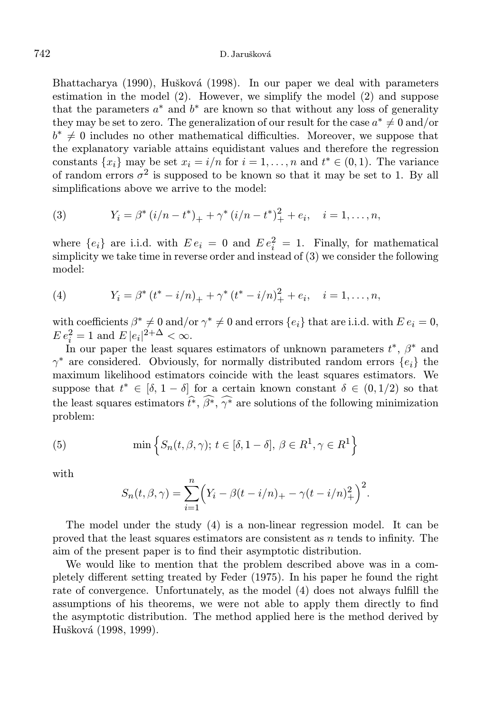Bhattacharya (1990), Hušková (1998). In our paper we deal with parameters estimation in the model (2). However, we simplify the model (2) and suppose that the parameters  $a^*$  and  $b^*$  are known so that without any loss of generality they may be set to zero. The generalization of our result for the case  $a^* \neq 0$  and/or  $b^* \neq 0$  includes no other mathematical difficulties. Moreover, we suppose that the explanatory variable attains equidistant values and therefore the regression constants  $\{x_i\}$  may be set  $x_i = i/n$  for  $i = 1, ..., n$  and  $t^* \in (0, 1)$ . The variance of random errors  $\sigma^2$  is supposed to be known so that it may be set to 1. By all simplifications above we arrive to the model:

(3) 
$$
Y_i = \beta^* (i/n - t^*)_+ + \gamma^* (i/n - t^*)_+^2 + e_i, \quad i = 1, ..., n,
$$

where  $\{e_i\}$  are i.i.d. with  $E e_i = 0$  and  $E e_i^2 = 1$ . Finally, for mathematical simplicity we take time in reverse order and instead of (3) we consider the following model:

(4) 
$$
Y_i = \beta^* (t^* - i/n)_+ + \gamma^* (t^* - i/n)_+^2 + e_i, \quad i = 1, ..., n,
$$

with coefficients  $\beta^* \neq 0$  and/or  $\gamma^* \neq 0$  and errors  $\{e_i\}$  that are i.i.d. with  $E e_i = 0$ ,  $E e_i^2 = 1$  and  $E |e_i|^{2+\Delta} < \infty$ .

In our paper the least squares estimators of unknown parameters  $t^*, \beta^*$  and  $\gamma^*$  are considered. Obviously, for normally distributed random errors  $\{e_i\}$  the maximum likelihood estimators coincide with the least squares estimators. We suppose that  $t^* \in [\delta, 1-\delta]$  for a certain known constant  $\delta \in (0,1/2)$  so that the least squares estimators  $\hat{t}^*, \hat{\beta}^*, \hat{\gamma}^*$  are solutions of the following minimization problem:

(5) 
$$
\min\left\{S_n(t,\beta,\gamma); t \in [\delta,1-\delta], \beta \in R^1, \gamma \in R^1\right\}
$$

with

$$
S_n(t, \beta, \gamma) = \sum_{i=1}^n (Y_i - \beta(t - i/n) + \gamma(t - i/n)^2) \Big)^2.
$$

The model under the study (4) is a non-linear regression model. It can be proved that the least squares estimators are consistent as  $n$  tends to infinity. The aim of the present paper is to find their asymptotic distribution.

We would like to mention that the problem described above was in a completely different setting treated by Feder (1975). In his paper he found the right rate of convergence. Unfortunately, as the model (4) does not always fulfill the assumptions of his theorems, we were not able to apply them directly to find the asymptotic distribution. The method applied here is the method derived by Hušková (1998, 1999).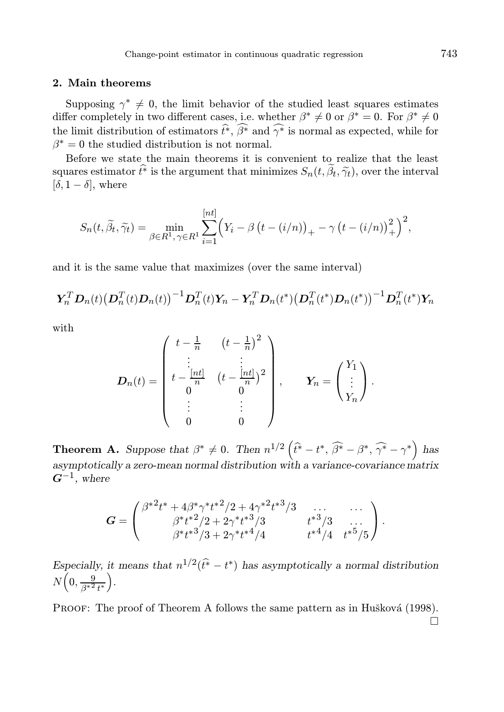#### 2. Main theorems

Supposing  $\gamma^* \neq 0$ , the limit behavior of the studied least squares estimates differ completely in two different cases, i.e. whether  $\beta^* \neq 0$  or  $\beta^* = 0$ . For  $\beta^* \neq 0$ the limit distribution of estimators  $\hat{t}^*, \widehat{\beta^*}$  and  $\widehat{\gamma^*}$  is normal as expected, while for  $\beta^* = 0$  the studied distribution is not normal.

Before we state the main theorems it is convenient to realize that the least squares estimator  $\hat{t}^*$  is the argument that minimizes  $S_n(t, \tilde{\beta}_t, \tilde{\gamma}_t)$ , over the interval  $[\delta, 1 - \delta]$ , where

$$
S_n(t, \widetilde{\beta}_t, \widetilde{\gamma}_t) = \min_{\beta \in R^1, \gamma \in R^1} \sum_{i=1}^{[nt]} \left( Y_i - \beta \left( t - (i/n) \right)_+ - \gamma \left( t - (i/n) \right)_+^2 \right)^2,
$$

and it is the same value that maximizes (over the same interval)

$$
\boldsymbol{Y}_n^T \boldsymbol{D}_n(t) \big(\boldsymbol{D}_n^T(t) \boldsymbol{D}_n(t)\big)^{-1} \boldsymbol{D}_n^T(t) \boldsymbol{Y}_n - \boldsymbol{Y}_n^T \boldsymbol{D}_n(t^*) \big(\boldsymbol{D}_n^T(t^*) \boldsymbol{D}_n(t^*)\big)^{-1} \boldsymbol{D}_n^T(t^*) \boldsymbol{Y}_n
$$

with

$$
D_n(t) = \begin{pmatrix} t - \frac{1}{n} & (t - \frac{1}{n})^2 \\ \vdots & \vdots \\ t - \frac{\lfloor nt \rfloor}{n} & (t - \frac{\lfloor nt \rfloor}{n})^2 \\ 0 & 0 & 0 \end{pmatrix}, \quad \mathbf{Y}_n = \begin{pmatrix} Y_1 \\ \vdots \\ Y_n \end{pmatrix}.
$$

**Theorem A.** Suppose that  $\beta^* \neq 0$ . Then  $n^{1/2}(\hat{t}^* - t^*, \hat{\beta}^* - \beta^*, \hat{\gamma}^* - \gamma^*)$  has asymptotically a zero-mean normal distribution with a variance-covariance matrix  $G^{-1}$ , where

$$
G = \begin{pmatrix} \beta^{*2}t^{*} + 4\beta^{*}\gamma^{*}t^{*2}/2 + 4\gamma^{*2}t^{*3}/3 & \dots & \dots \\ \beta^{*}t^{*2}/2 + 2\gamma^{*}t^{*3}/3 & t^{*3}/3 & \dots \\ \beta^{*}t^{*3}/3 + 2\gamma^{*}t^{*4}/4 & t^{*4}/4 & t^{*5}/5 \end{pmatrix}.
$$

Especially, it means that  $n^{1/2}(\hat{t}^* - t^*)$  has asymptotically a normal distribution  $N\left(0,\frac{9}{\beta^{*2}t^*}\right)$ .

PROOF: The proof of Theorem A follows the same pattern as in Hušková (1998).  $\Box$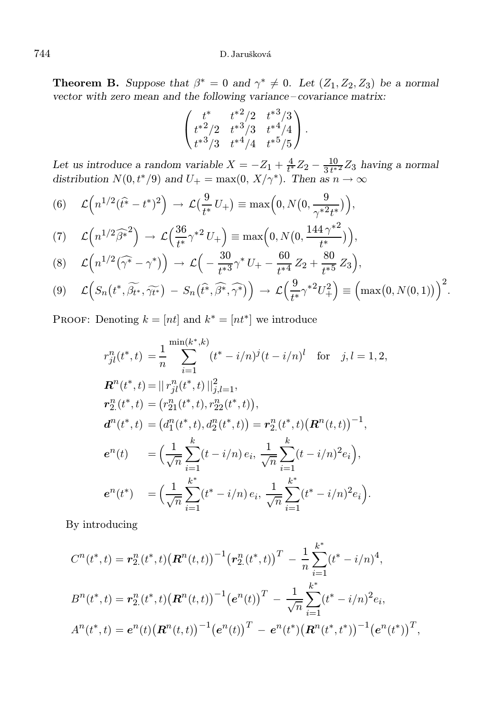**Theorem B.** Suppose that  $\beta^* = 0$  and  $\gamma^* \neq 0$ . Let  $(Z_1, Z_2, Z_3)$  be a normal vector with zero mean and the following variance – covariance matrix:

$$
\begin{pmatrix} t^* & t^{*2}/2 & t^{*3}/3 \\ t^{*2}/2 & t^{*3}/3 & t^{*4}/4 \\ t^{*3}/3 & t^{*4}/4 & t^{*5}/5 \end{pmatrix}.
$$

Let us introduce a random variable  $X = -Z_1 + \frac{4}{t^*}Z_2 - \frac{10}{3t^*}$  $\frac{10}{3 t^{*2}} Z_3$  having a normal distribution  $N(0, t^*/9)$  and  $U_+ = \max(0, X/\gamma^*)$ . Then as  $n \to \infty$ 

(6) 
$$
\mathcal{L}\left(n^{1/2}(\hat{t}^* - t^*)^2\right) \rightarrow \mathcal{L}\left(\frac{9}{t^*}U_+\right) \equiv \max\left(0, N\left(0, \frac{9}{\gamma^{*2}t^*}\right)\right),
$$

$$
(7) \quad \mathcal{L}\left(n^{1/2}\widehat{\beta^*}^2\right) \rightarrow \mathcal{L}\left(\frac{36}{t^*}\gamma^{*2}U_+\right) \equiv \max\left(0, N\left(0, \frac{144\,\gamma^{*2}}{t^*}\right)\right),\tag{6}
$$

$$
(8) \quad \mathcal{L}\left(n^{1/2}(\widehat{\gamma^*}-\gamma^*)\right) \rightarrow \mathcal{L}\left(-\frac{30}{t^{*3}}\gamma^*U_+ - \frac{60}{t^{*4}}Z_2 + \frac{80}{t^{*5}}Z_3\right),
$$

$$
(9) \quad \mathcal{L}\Big(S_n(t^*,\widetilde{\beta_{t^*}},\widetilde{\gamma_{t^*}})-S_n(\widehat{t^*},\widehat{\beta^*},\widehat{\gamma^*})\Big)\rightarrow\mathcal{L}\Big(\frac{9}{t^*}\gamma^{*2}U_+^2\Big)\equiv\Big(\max(0,N(0,1))\Big)^2.
$$

PROOF: Denoting  $k = [nt]$  and  $k^* = [nt^*]$  we introduce

$$
r_{jl}^{n}(t^{*},t) = \frac{1}{n} \sum_{i=1}^{\min(k^{*},k)} (t^{*} - i/n)^{j} (t - i/n)^{l} \text{ for } j,l = 1,2,
$$
  
\n
$$
\mathbf{R}^{n}(t^{*},t) = ||r_{jl}^{n}(t^{*},t)||_{j,l=1}^{2},
$$
  
\n
$$
r_{2}^{n}(t^{*},t) = (r_{21}^{n}(t^{*},t), r_{22}^{n}(t^{*},t)),
$$
  
\n
$$
d^{n}(t^{*},t) = (d_{1}^{n}(t^{*},t), d_{2}^{n}(t^{*},t)) = r_{2}^{n}(t^{*},t)(\mathbf{R}^{n}(t,t))^{-1},
$$
  
\n
$$
e^{n}(t) = \left(\frac{1}{\sqrt{n}} \sum_{i=1}^{k} (t - i/n) e_{i}, \frac{1}{\sqrt{n}} \sum_{i=1}^{k} (t - i/n)^{2} e_{i}\right),
$$
  
\n
$$
e^{n}(t^{*}) = \left(\frac{1}{\sqrt{n}} \sum_{i=1}^{k^{*}} (t^{*} - i/n) e_{i}, \frac{1}{\sqrt{n}} \sum_{i=1}^{k^{*}} (t^{*} - i/n)^{2} e_{i}\right).
$$

By introducing

$$
C^{n}(t^{*},t) = r_{2}^{n}(t^{*},t) \left(\mathbf{R}^{n}(t,t)\right)^{-1} \left(r_{2}^{n}(t^{*},t)\right)^{T} - \frac{1}{n} \sum_{i=1}^{k^{*}} (t^{*} - i/n)^{4},
$$
  
\n
$$
B^{n}(t^{*},t) = r_{2}^{n}(t^{*},t) \left(\mathbf{R}^{n}(t,t)\right)^{-1} \left(e^{n}(t)\right)^{T} - \frac{1}{\sqrt{n}} \sum_{i=1}^{k^{*}} (t^{*} - i/n)^{2} e_{i},
$$
  
\n
$$
A^{n}(t^{*},t) = e^{n}(t) \left(\mathbf{R}^{n}(t,t)\right)^{-1} \left(e^{n}(t)\right)^{T} - e^{n}(t^{*}) \left(\mathbf{R}^{n}(t^{*},t^{*})\right)^{-1} \left(e^{n}(t^{*})\right)^{T},
$$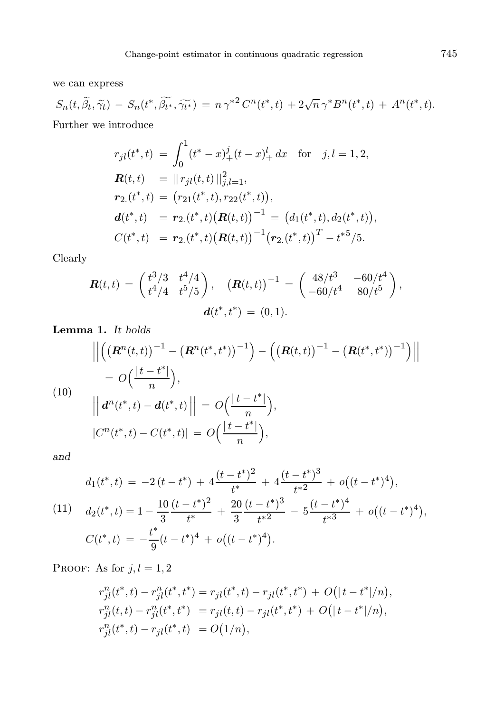we can express

$$
S_n(t, \widetilde{\beta}_t, \widetilde{\gamma}_t) - S_n(t^*, \widetilde{\beta_{t^*}}, \widetilde{\gamma_{t^*}}) = n \gamma^{*2} C^n(t^*, t) + 2\sqrt{n} \gamma^* B^n(t^*, t) + A^n(t^*, t).
$$
  
Further we introduce

$$
r_{jl}(t^*,t) = \int_0^1 (t^*-x)_+^j (t-x)_+^l dx \text{ for } j,l = 1,2,
$$
  
\n
$$
\mathbf{R}(t,t) = ||r_{jl}(t,t)||_{j,l=1}^2,
$$
  
\n
$$
\mathbf{r}_{2.}(t^*,t) = (r_{21}(t^*,t), r_{22}(t^*,t)),
$$
  
\n
$$
\mathbf{d}(t^*,t) = \mathbf{r}_{2.}(t^*,t) (\mathbf{R}(t,t))^{-1} = (d_1(t^*,t), d_2(t^*,t)),
$$
  
\n
$$
C(t^*,t) = \mathbf{r}_{2.}(t^*,t) (\mathbf{R}(t,t))^{-1} (\mathbf{r}_{2.}(t^*,t))^T - t^{*5}/5.
$$

Clearly

$$
\mathbf{R}(t,t) = \begin{pmatrix} t^3/3 & t^4/4 \\ t^4/4 & t^5/5 \end{pmatrix}, \quad (\mathbf{R}(t,t))^{-1} = \begin{pmatrix} 48/t^3 & -60/t^4 \\ -60/t^4 & 80/t^5 \end{pmatrix},
$$

$$
\mathbf{d}(t^*,t^*) = (0,1).
$$

Lemma 1. It holds

$$
\left\| \left( \left( \mathbf{R}^{n}(t,t) \right)^{-1} - \left( \mathbf{R}^{n}(t^{*},t^{*}) \right)^{-1} \right) - \left( \left( \mathbf{R}(t,t) \right)^{-1} - \left( \mathbf{R}(t^{*},t^{*}) \right)^{-1} \right) \right\|
$$
\n
$$
= O\left( \frac{|t-t^{*}|}{n} \right),
$$
\n(10)\n
$$
\left\| \mathbf{d}^{n}(t^{*},t) - \mathbf{d}(t^{*},t) \right\| = O\left( \frac{|t-t^{*}|}{n} \right),
$$
\n
$$
|C^{n}(t^{*},t) - C(t^{*},t)| = O\left( \frac{|t-t^{*}|}{n} \right),
$$

and

$$
d_1(t^*,t) = -2(t-t^*) + 4\frac{(t-t^*)^2}{t^*} + 4\frac{(t-t^*)^3}{t^*^2} + o((t-t^*)^4),
$$
  
(11) 
$$
d_2(t^*,t) = 1 - \frac{10}{3}\frac{(t-t^*)^2}{t^*} + \frac{20}{3}\frac{(t-t^*)^3}{t^*^2} - 5\frac{(t-t^*)^4}{t^*^3} + o((t-t^*)^4),
$$

$$
C(t^*,t) = -\frac{t^*}{9}(t-t^*)^4 + o((t-t^*)^4).
$$

PROOF: As for  $j, l = 1, 2$ 

$$
r_{jl}^n(t^*,t) - r_{jl}^n(t^*,t^*) = r_{jl}(t^*,t) - r_{jl}(t^*,t^*) + O(|t-t^*|/n),
$$
  
\n
$$
r_{jl}^n(t,t) - r_{jl}^n(t^*,t^*) = r_{jl}(t,t) - r_{jl}(t^*,t^*) + O(|t-t^*|/n),
$$
  
\n
$$
r_{jl}^n(t^*,t) - r_{jl}(t^*,t) = O(1/n),
$$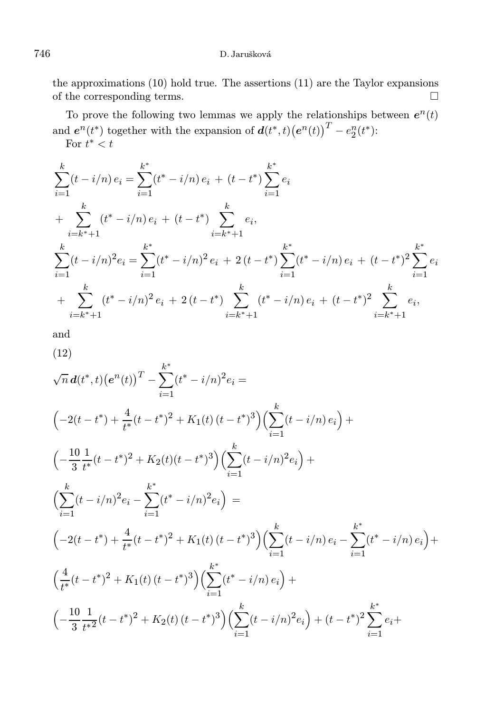the approximations (10) hold true. The assertions (11) are the Taylor expansions of the corresponding terms.  $\Box$ 

To prove the following two lemmas we apply the relationships between  $e^n(t)$ and  $e^n(t^*)$  together with the expansion of  $d(t^*, t) (e^n(t))^T - e_2^n(t^*)$ : For  $t^* < t$ 

$$
\sum_{i=1}^{k} (t - i/n) e_i = \sum_{i=1}^{k^*} (t^* - i/n) e_i + (t - t^*) \sum_{i=1}^{k^*} e_i
$$
  
+ 
$$
\sum_{i=k^*+1}^{k} (t^* - i/n) e_i + (t - t^*) \sum_{i=k^*+1}^{k} e_i,
$$
  

$$
\sum_{i=1}^{k} (t - i/n)^2 e_i = \sum_{i=1}^{k^*} (t^* - i/n)^2 e_i + 2(t - t^*) \sum_{i=1}^{k^*} (t^* - i/n) e_i + (t - t^*)^2 \sum_{i=1}^{k^*} e_i
$$
  
+ 
$$
\sum_{i=k^*+1}^{k} (t^* - i/n)^2 e_i + 2(t - t^*) \sum_{i=k^*+1}^{k} (t^* - i/n) e_i + (t - t^*)^2 \sum_{i=k^*+1}^{k} e_i,
$$

and

(12)

$$
\sqrt{n} d(t^*,t) (e^n(t))^T - \sum_{i=1}^{k^*} (t^* - i/n)^2 e_i =
$$
\n
$$
\left( -2(t - t^*) + \frac{4}{t^*}(t - t^*)^2 + K_1(t) (t - t^*)^3 \right) \left( \sum_{i=1}^k (t - i/n) e_i \right) +
$$
\n
$$
\left( -\frac{10}{3} \frac{1}{t^*}(t - t^*)^2 + K_2(t) (t - t^*)^3 \right) \left( \sum_{i=1}^k (t - i/n)^2 e_i \right) +
$$
\n
$$
\left( \sum_{i=1}^k (t - i/n)^2 e_i - \sum_{i=1}^{k^*} (t^* - i/n)^2 e_i \right) =
$$
\n
$$
\left( -2(t - t^*) + \frac{4}{t^*}(t - t^*)^2 + K_1(t) (t - t^*)^3 \right) \left( \sum_{i=1}^k (t - i/n) e_i - \sum_{i=1}^{k^*} (t^* - i/n) e_i \right) +
$$
\n
$$
\left( \frac{4}{t^*}(t - t^*)^2 + K_1(t) (t - t^*)^3 \right) \left( \sum_{i=1}^k (t^* - i/n) e_i \right) +
$$
\n
$$
\left( -\frac{10}{3} \frac{1}{t^*}(t - t^*)^2 + K_2(t) (t - t^*)^3 \right) \left( \sum_{i=1}^k (t - i/n)^2 e_i \right) + (t - t^*)^2 \sum_{i=1}^{k^*} e_i +
$$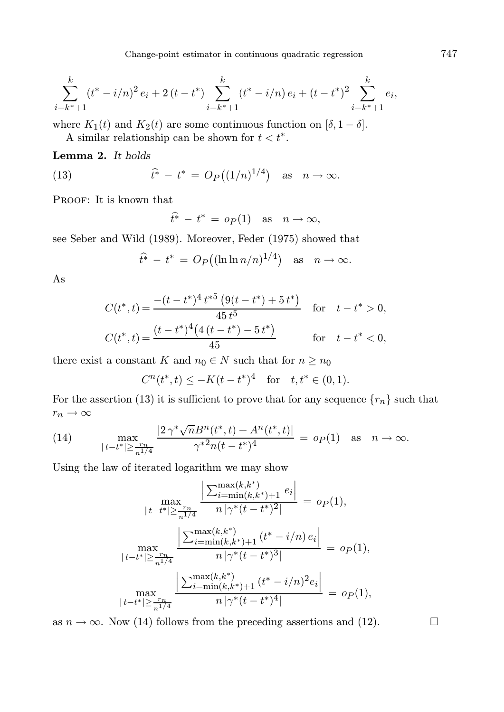$$
\sum_{i=k^*+1}^k (t^* - i/n)^2 e_i + 2(t - t^*) \sum_{i=k^*+1}^k (t^* - i/n) e_i + (t - t^*)^2 \sum_{i=k^*+1}^k e_i,
$$

where  $K_1(t)$  and  $K_2(t)$  are some continuous function on  $[\delta, 1-\delta]$ .

A similar relationship can be shown for  $t < t^*$ .

Lemma 2. It holds

(13) 
$$
\hat{t}^* - t^* = O_P((1/n)^{1/4}) \text{ as } n \to \infty.
$$

PROOF: It is known that

$$
\hat{t}^* - t^* = o_P(1) \quad \text{as} \quad n \to \infty,
$$

see Seber and Wild (1989). Moreover, Feder (1975) showed that

$$
\hat{t}^* - t^* = O_P((\ln \ln n/n)^{1/4}) \text{ as } n \to \infty.
$$

As

$$
C(t^*, t) = \frac{-(t - t^*)^4 t^{*5} (9(t - t^*) + 5t^*)}{45t^5} \quad \text{for} \quad t - t^* > 0,
$$
  

$$
C(t^*, t) = \frac{(t - t^*)^4 (4(t - t^*) - 5t^*)}{45} \quad \text{for} \quad t - t^* < 0,
$$

there exist a constant K and  $n_0 \in N$  such that for  $n \geq n_0$ 

 $C^{n}(t^{*}, t) \leq -K(t-t^{*})^{4}$  for  $t, t^{*} \in (0, 1)$ .

For the assertion (13) it is sufficient to prove that for any sequence  $\{r_n\}$  such that  $r_n \to \infty$ 

(14) 
$$
\max_{|t-t^*| \geq \frac{r_n}{n^{1/4}}} \frac{|2\,\gamma^*\sqrt{n}B^n(t^*,t) + A^n(t^*,t)|}{\gamma^{*2}n(t-t^*)^4} = o_P(1) \text{ as } n \to \infty.
$$

Using the law of iterated logarithm we may show

$$
\max_{|t-t^*| \ge \frac{r_n}{n^{1/4}}} \frac{\left| \sum_{i=\min(k,k^*)+1}^{\max(k,k^*)} e_i \right|}{n |\gamma^*(t-t^*)^2|} = o_P(1),
$$
\n
$$
\max_{|t-t^*| \ge \frac{r_n}{n^{1/4}}} \frac{\left| \sum_{i=\min(k,k^*)+1}^{\max(k,k^*)} (t^* - i/n) e_i \right|}{n |\gamma^*(t-t^*)^3|} = o_P(1),
$$
\n
$$
\max_{|t-t^*| \ge \frac{r_n}{n^{1/4}}} \frac{\left| \sum_{i=\min(k,k^*)+1}^{\max(k,k^*)} (t^* - i/n)^2 e_i \right|}{n |\gamma^*(t-t^*)^4|} = o_P(1),
$$

as  $n \to \infty$ . Now (14) follows from the preceding assertions and (12).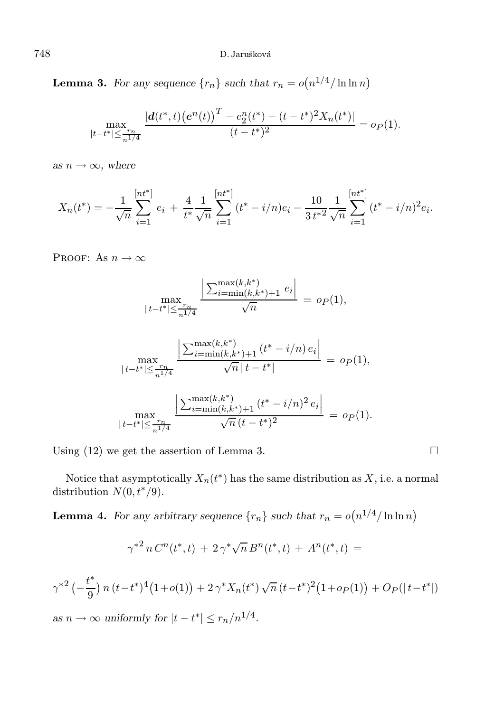**Lemma 3.** For any sequence  $\{r_n\}$  such that  $r_n = o(n^{1/4}/\ln \ln n)$ 

$$
\max_{|t-t^*| \leq \frac{r_n}{n^{1/4}}} \frac{|d(t^*,t) (e^n(t))^T - e_2^n(t^*) - (t - t^*)^2 X_n(t^*)|}{(t - t^*)^2} = o_P(1).
$$

as  $n \to \infty$ , where

$$
X_n(t^*) = -\frac{1}{\sqrt{n}} \sum_{i=1}^{\lfloor nt^* \rfloor} e_i + \frac{4}{t^*} \frac{1}{\sqrt{n}} \sum_{i=1}^{\lfloor nt^* \rfloor} (t^* - i/n) e_i - \frac{10}{3 t^{*2}} \frac{1}{\sqrt{n}} \sum_{i=1}^{\lfloor nt^* \rfloor} (t^* - i/n)^2 e_i.
$$

PROOF: As  $n \to \infty$ 

$$
\max_{\lvert t-t^* \rvert \leq \frac{r_n}{n^{1/4}}} \frac{\left\lvert \sum_{i=\min(k,k^*)+1}^{\max(k,k^*)} e_i \right\rvert}{\sqrt{n}} = o_P(1),
$$

$$
\max_{|t-t^*| \le \frac{r_n}{n^{1/4}}} \frac{\left| \sum_{i=\min(k,k^*)+1}^{\max(k,k^*)} (t^* - i/n) e_i \right|}{\sqrt{n} |t-t^*|} = o_P(1),
$$
  

$$
\max_{|t-t^*| \le \frac{r_n}{n^{1/4}}} \frac{\left| \sum_{i=\min(k,k^*)+1}^{\max(k,k^*)} (t^* - i/n)^2 e_i \right|}{\sqrt{n} (t-t^*)^2} = o_P(1).
$$

Using  $(12)$  we get the assertion of Lemma 3.

Notice that asymptotically  $X_n(t^*)$  has the same distribution as  $X$ , i.e. a normal distribution  $N(0, t^*/9)$ .

**Lemma 4.** For any arbitrary sequence  $\{r_n\}$  such that  $r_n = o(n^{1/4}/\ln \ln n)$ 

$$
\gamma^{*2} n C^n(t^*,t) + 2 \gamma^* \sqrt{n} B^n(t^*,t) + A^n(t^*,t) =
$$

$$
\gamma^{*2} \left(-\frac{t^*}{9}\right) n \left(t - t^*\right)^4 \left(1 + o(1)\right) + 2 \gamma^* X_n(t^*) \sqrt{n} \left(t - t^*\right)^2 \left(1 + o_P(1)\right) + O_P(|t - t^*|)
$$

as  $n \to \infty$  uniformly for  $|t - t^*| \leq r_n/n^{1/4}$ .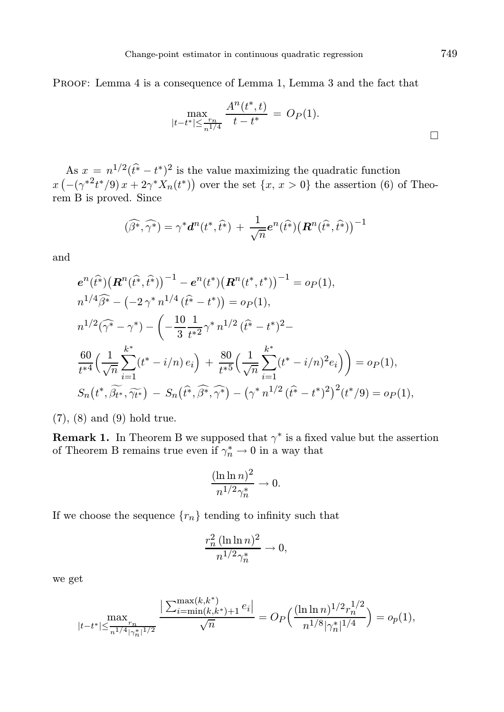PROOF: Lemma 4 is a consequence of Lemma 1, Lemma 3 and the fact that

$$
\max_{|t-t^*| \leq \frac{r_n}{n^{1/4}}} \frac{A^n(t^*,t)}{t-t^*} = O_P(1).
$$

As  $x = n^{1/2}(\hat{t} - t^*)^2$  is the value maximizing the quadratic function  $x(-({\gamma^*}^2 t^*/9)x+2{\gamma^*}X_n(t^*))$  over the set  $\{x, x > 0\}$  the assertion (6) of Theorem B is proved. Since

$$
(\widehat{\beta^*},\widehat{\gamma^*})=\gamma^* \boldsymbol{d}^n(t^*,\widehat{t^*})\,+\,\frac{1}{\sqrt{n}}\boldsymbol{e}^n(\widehat{t^*})\bigl(\boldsymbol{R}^n(\widehat{t^*},\widehat{t^*})\bigr)^{-1}
$$

and

$$
e^{n}(\hat{t}^{*})(\mathbf{R}^{n}(\hat{t}^{*},\hat{t}^{*}))^{-1} - e^{n}(t^{*})(\mathbf{R}^{n}(t^{*},t^{*}))^{-1} = o_{P}(1),
$$
  
\n
$$
n^{1/4}\hat{\beta}^{*} - (-2\gamma^{*}n^{1/4}(\hat{t}^{*} - t^{*})) = o_{P}(1),
$$
  
\n
$$
n^{1/2}(\hat{\gamma}^{*} - \gamma^{*}) - \left(-\frac{10}{3}\frac{1}{t^{*2}}\gamma^{*}n^{1/2}(\hat{t}^{*} - t^{*})^{2} - \frac{60}{t^{*4}}\left(\frac{1}{\sqrt{n}}\sum_{i=1}^{k^{*}}(t^{*} - i/n)e_{i}\right) + \frac{80}{t^{*5}}\left(\frac{1}{\sqrt{n}}\sum_{i=1}^{k^{*}}(t^{*} - i/n)^{2}e_{i}\right)\right) = o_{P}(1),
$$
  
\n
$$
S_{n}(t^{*}, \widetilde{\beta_{t^{*}}}, \widetilde{\gamma_{t^{*}}}) - S_{n}(\hat{t}^{*}, \widehat{\beta^{*}}, \widehat{\gamma^{*}}) - (\gamma^{*}n^{1/2}(\hat{t}^{*} - t^{*})^{2})^{2}(t^{*}/9) = o_{P}(1),
$$

(7), (8) and (9) hold true.

**Remark 1.** In Theorem B we supposed that  $\gamma^*$  is a fixed value but the assertion of Theorem B remains true even if  $\gamma_n^* \to 0$  in a way that

$$
\frac{(\ln \ln n)^2}{n^{1/2}\gamma_n^*} \to 0.
$$

If we choose the sequence  $\{r_n\}$  tending to infinity such that

$$
\frac{r_n^2 (\ln \ln n)^2}{n^{1/2} \gamma_n^*} \to 0,
$$

we get

$$
\max_{|t-t^*|\leq \frac{r_n}{n^{1/4}|\gamma_n^*|^{1/2}}}\frac{\big|\sum_{i=\min(k,k^*)+1}^{\max(k,k^*)} e_i\big|}{\sqrt{n}}=O_P\Big(\frac{(\ln\ln n)^{1/2}r_n^{1/2}}{n^{1/8}|\gamma_n^*|^{1/4}}\Big)=o_p(1),
$$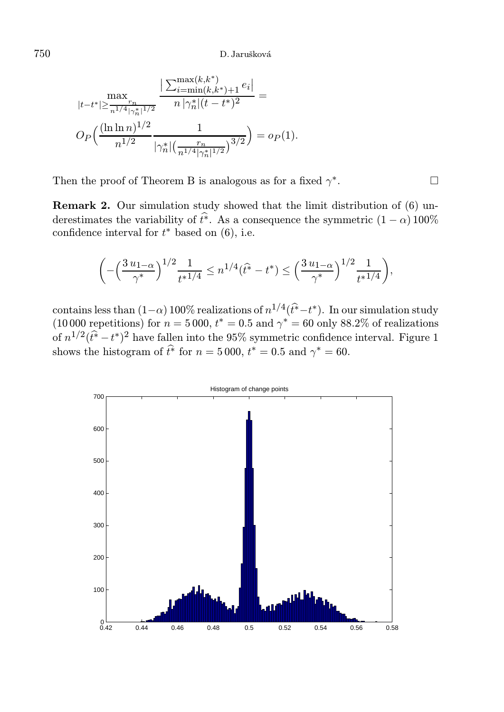$$
\max_{|t-t^*| \geq \frac{r_n}{n^{1/4} |\gamma_n^*|^{1/2}}}\frac{\big|\sum_{i=\min(k,k^*)+1}^{\max(k,k^*)} e_i\big|}{n\,|\gamma_n^*|(t-t^*)^2} = \\ O_P\Big(\frac{(\ln\ln n)^{1/2}}{n^{1/2}}\frac{1}{|\gamma_n^*| \big(\frac{r_n}{n^{1/4} |\gamma_n^*|^{1/2}}\big)^{3/2}}\Big) = o_P(1).
$$

Then the proof of Theorem B is analogous as for a fixed  $\gamma^*$ .

Remark 2. Our simulation study showed that the limit distribution of (6) underestimates the variability of  $\hat{t}^*$ . As a consequence the symmetric  $(1 - \alpha)$  100% confidence interval for  $t^*$  based on  $(6)$ , i.e.

$$
\bigg( - \Big(\frac{3\,u_1}_{-\alpha}\Big)^{1/2}\frac{1}{t^{*1/4}} \leq n^{1/4}(\widehat{t^*}-t^*) \leq \Big(\frac{3\,u_1}_{-\alpha}\Big)^{1/2}\frac{1}{t^{*1/4}}\bigg),
$$

contains less than  $(1-\alpha)$  100% realizations of  $n^{1/4}(\hat{t}^* - t^*)$ . In our simulation study (10000 repetitions) for  $n = 5000$ ,  $t^* = 0.5$  and  $\gamma^* = 60$  only 88.2% of realizations of  $n^{1/2}(\hat{t}^* - t^*)^2$  have fallen into the 95% symmetric confidence interval. Figure 1 shows the histogram of  $t^*$  for  $n = 5000$ ,  $t^* = 0.5$  and  $\gamma^* = 60$ .

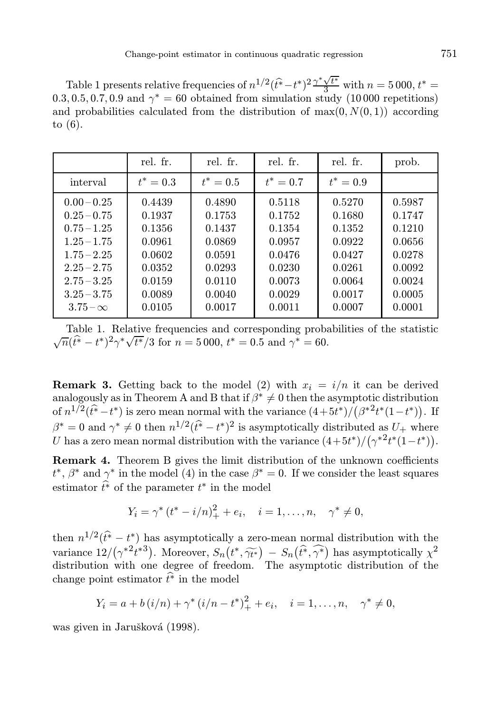Table 1 presents relative frequencies of  $n^{1/2}(\hat{t}^* - t^*)^2 \frac{\gamma^* \sqrt{t^*}}{3}$  with  $n = 5000, t^* =$  $(0.3, 0.5, 0.7, 0.9 \text{ and } \gamma^* = 60 \text{ obtained from simulation study } (10000 \text{ repetitions})$ and probabilities calculated from the distribution of  $\max(0, N(0, 1))$  according to (6).

|                 | rel. fr.    | rel. fr.    | rel. fr.    | rel. fr.    | prob.  |
|-----------------|-------------|-------------|-------------|-------------|--------|
| interval        | $t^* = 0.3$ | $t^* = 0.5$ | $t^* = 0.7$ | $t^* = 0.9$ |        |
| $0.00 - 0.25$   | 0.4439      | 0.4890      | 0.5118      | 0.5270      | 0.5987 |
| $0.25 - 0.75$   | 0.1937      | 0.1753      | 0.1752      | 0.1680      | 0.1747 |
| $0.75 - 1.25$   | 0.1356      | 0.1437      | 0.1354      | 0.1352      | 0.1210 |
| $1.25 - 1.75$   | 0.0961      | 0.0869      | 0.0957      | 0.0922      | 0.0656 |
| $1.75 - 2.25$   | 0.0602      | 0.0591      | 0.0476      | 0.0427      | 0.0278 |
| $2.25 - 2.75$   | 0.0352      | 0.0293      | 0.0230      | 0.0261      | 0.0092 |
| $2.75 - 3.25$   | 0.0159      | 0.0110      | 0.0073      | 0.0064      | 0.0024 |
| $3.25 - 3.75$   | 0.0089      | 0.0040      | 0.0029      | 0.0017      | 0.0005 |
| $3.75 - \infty$ | 0.0105      | 0.0017      | 0.0011      | 0.0007      | 0.0001 |
|                 |             |             |             |             |        |

Table 1. Relative frequencies and corresponding probabilities of the statistic  $\sqrt{n}(\hat{t}^* - t^*)^2 \gamma^* \sqrt{t^*}/3$  for  $n = 5000$ ,  $t^* = 0.5$  and  $\gamma^* = 60$ .

**Remark 3.** Getting back to the model (2) with  $x_i = i/n$  it can be derived analogously as in Theorem A and B that if  $\beta^* \neq 0$  then the asymptotic distribution of  $n^{1/2}(\hat{t}^* - t^*)$  is zero mean normal with the variance  $(4+5t^*)/(\beta^{*2}t^*(1-t^*))$ . If  $\beta^* = 0$  and  $\gamma^* \neq 0$  then  $n^{1/2}(\hat{t}^* - t^*)^2$  is asymptotically distributed as  $U_+$  where U has a zero mean normal distribution with the variance  $(4+5t^*)/(\gamma^{*2}t^*(1-t^*))$ .

Remark 4. Theorem B gives the limit distribution of the unknown coefficients  $t^*, \beta^*$  and  $\gamma^*$  in the model (4) in the case  $\beta^* = 0$ . If we consider the least squares estimator  $t^*$  of the parameter  $t^*$  in the model

$$
Y_i = \gamma^* (t^* - i/n)_+^2 + e_i, \quad i = 1, ..., n, \quad \gamma^* \neq 0,
$$

then  $n^{1/2}(\hat{t}^* - t^*)$  has asymptotically a zero-mean normal distribution with the variance  $12/(\gamma^{*2}t^{*3})$ . Moreover,  $S_n(t^*, \widetilde{\gamma_{t^*}}) - S_n(\widehat{t^*}, \widehat{\gamma^*})$  has asymptotically  $\chi^2$ distribution with one degree of freedom. The asymptotic distribution of the change point estimator  $\hat{t}^*$  in the model

$$
Y_i = a + b(i/n) + \gamma^* (i/n - t^*)^2_+ + e_i, \quad i = 1, ..., n, \quad \gamma^* \neq 0,
$$

was given in Jarušková (1998).